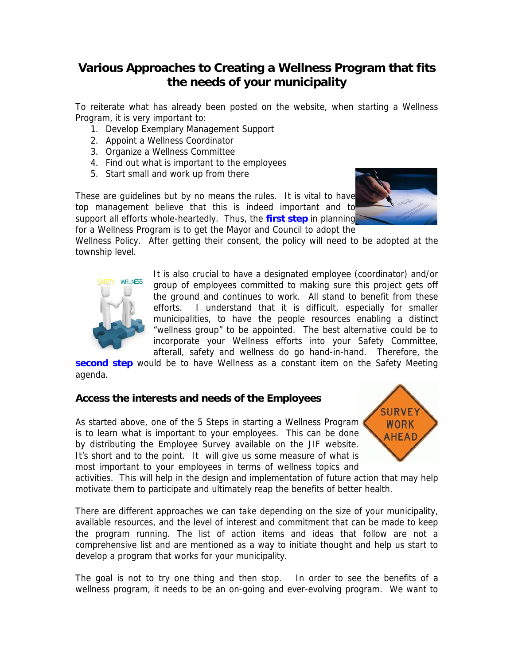## **Various Approaches to Creating a Wellness Program that fits the needs of your municipality**

To reiterate what has already been posted on the website, when starting a Wellness Program, it is very important to:

- 1. Develop Exemplary Management Support
- 2. Appoint a Wellness Coordinator
- 3. Organize a Wellness Committee
- 4. Find out what is important to the employees
- 5. Start small and work up from there

These are guidelines but by no means the rules. It is vital to have top management believe that this is indeed important and to support all efforts whole-heartedly. Thus, the **first step** in planning for a Wellness Program is to get the Mayor and Council to adopt the



Wellness Policy. After getting their consent, the policy will need to be adopted at the township level.



It is also crucial to have a designated employee (coordinator) and/or group of employees committed to making sure this project gets off the ground and continues to work. All stand to benefit from these efforts. I understand that it is difficult, especially for smaller municipalities, to have the people resources enabling a distinct "wellness group" to be appointed. The best alternative could be to incorporate your Wellness efforts into your Safety Committee, afterall, safety and wellness do go hand-in-hand. Therefore, the

**second step** would be to have Wellness as a constant item on the Safety Meeting agenda.

### **Access the interests and needs of the Employees**

As started above, one of the 5 Steps in starting a Wellness Program is to learn what is important to your employees. This can be done by distributing the Employee Survey available on the JIF website. It's short and to the point. It will give us some measure of what is most important to your employees in terms of wellness topics and



activities. This will help in the design and implementation of future action that may help motivate them to participate and ultimately reap the benefits of better health.

There are different approaches we can take depending on the size of your municipality, available resources, and the level of interest and commitment that can be made to keep the program running. The list of action items and ideas that follow are not a comprehensive list and are mentioned as a way to initiate thought and help us start to develop a program that works for your municipality.

The goal is not to try one thing and then stop. In order to see the benefits of a wellness program, it needs to be an on-going and ever-evolving program. We want to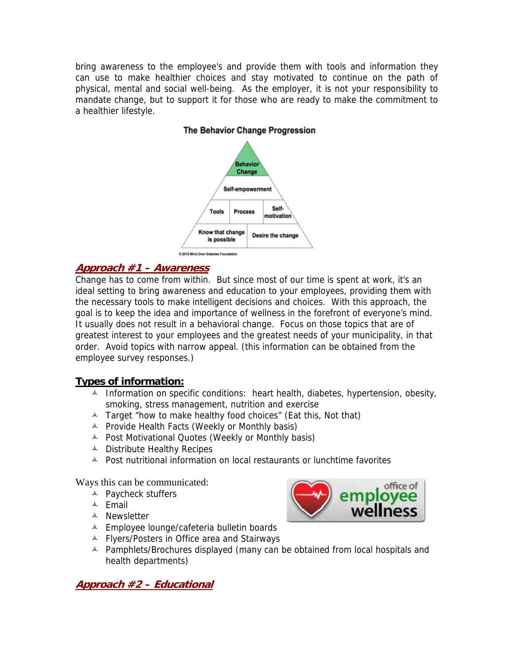bring awareness to the employee's and provide them with tools and information they can use to make healthier choices and stay motivated to continue on the path of physical, mental and social well-being. As the employer, it is not your responsibility to mandate change, but to support it for those who are ready to make the commitment to a healthier lifestyle.



## **The Behavior Change Progression**

#### **Approach #1 – Awareness**

Change has to come from within. But since most of our time is spent at work, it's an ideal setting to bring awareness and education to your employees, providing them with the necessary tools to make intelligent decisions and choices. With this approach, the goal is to keep the idea and importance of wellness in the forefront of everyone's mind. It usually does not result in a behavioral change. Focus on those topics that are of greatest interest to your employees and the greatest needs of your municipality, in that order. Avoid topics with narrow appeal. (this information can be obtained from the employee survey responses.)

### **Types of information:**

- $\triangle$  Information on specific conditions: heart health, diabetes, hypertension, obesity, smoking, stress management, nutrition and exercise
- A Target "how to make healthy food choices" (Eat this, Not that)
- $\triangle$  Provide Health Facts (Weekly or Monthly basis)
- A Post Motivational Quotes (Weekly or Monthly basis)
- $\triangle$  Distribute Healthy Recipes
- $\triangle$  Post nutritional information on local restaurants or lunchtime favorites

Ways this can be communicated:

- A Paycheck stuffers
- $A$  Fmail
- Newsletter
- A Employee lounge/cafeteria bulletin boards
- A Flyers/Posters in Office area and Stairways
- A Pamphlets/Brochures displayed (many can be obtained from local hospitals and health departments)

**Approach #2 – Educational** 

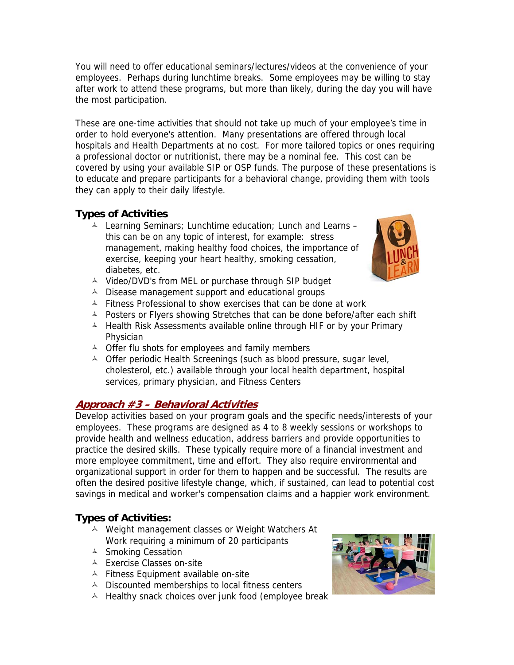You will need to offer educational seminars/lectures/videos at the convenience of your employees. Perhaps during lunchtime breaks. Some employees may be willing to stay after work to attend these programs, but more than likely, during the day you will have the most participation.

These are one-time activities that should not take up much of your employee's time in order to hold everyone's attention. Many presentations are offered through local hospitals and Health Departments at no cost. For more tailored topics or ones requiring a professional doctor or nutritionist, there may be a nominal fee. This cost can be covered by using your available SIP or OSP funds. The purpose of these presentations is to educate and prepare participants for a behavioral change, providing them with tools they can apply to their daily lifestyle.

## **Types of Activities**

- Learning Seminars; Lunchtime education; Lunch and Learns this can be on any topic of interest, for example: stress management, making healthy food choices, the importance of exercise, keeping your heart healthy, smoking cessation, diabetes, etc.
- A Video/DVD's from MEL or purchase through SIP budget
- $\triangle$  Disease management support and educational groups
- $\triangle$  Fitness Professional to show exercises that can be done at work
- A Posters or Flyers showing Stretches that can be done before/after each shift
- $\triangle$  Health Risk Assessments available online through HIF or by your Primary Physician
- $\triangle$  Offer flu shots for employees and family members
- <sup> $\triangle$ </sup> Offer periodic Health Screenings (such as blood pressure, sugar level, cholesterol, etc.) available through your local health department, hospital services, primary physician, and Fitness Centers

## **Approach #3 – Behavioral Activities**

Develop activities based on your program goals and the specific needs/interests of your employees. These programs are designed as 4 to 8 weekly sessions or workshops to provide health and wellness education, address barriers and provide opportunities to practice the desired skills. These typically require more of a financial investment and more employee commitment, time and effort. They also require environmental and organizational support in order for them to happen and be successful. The results are often the desired positive lifestyle change, which, if sustained, can lead to potential cost savings in medical and worker's compensation claims and a happier work environment.

## **Types of Activities:**

- A Weight management classes or Weight Watchers At Work requiring a minimum of 20 participants
- <sup> $\triangle$ </sup> Smoking Cessation
- A Exercise Classes on-site
- $\triangle$  Fitness Equipment available on-site
- $\triangle$  Discounted memberships to local fitness centers
- $\triangle$  Healthy snack choices over junk food (employee break



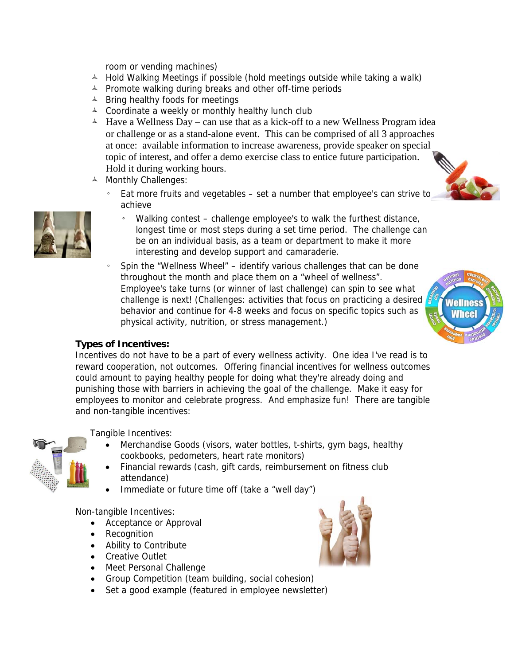room or vending machines)

- $\overline{A}$  Hold Walking Meetings if possible (hold meetings outside while taking a walk)
- $\triangle$  Promote walking during breaks and other off-time periods
- $\triangle$  Bring healthy foods for meetings
- $\triangle$  Coordinate a weekly or monthly healthy lunch club
- $\overline{\phantom{a}}$  Have a Wellness Day can use that as a kick-off to a new Wellness Program idea or challenge or as a stand-alone event. This can be comprised of all 3 approaches at once: available information to increase awareness, provide speaker on special topic of interest, and offer a demo exercise class to entice future participation. Hold it during working hours.
- A Monthly Challenges:
	- Eat more fruits and vegetables set a number that employee's can strive to achieve
		- Walking contest challenge employee's to walk the furthest distance, longest time or most steps during a set time period. The challenge can be on an individual basis, as a team or department to make it more interesting and develop support and camaraderie.
	- Spin the "Wellness Wheel" identify various challenges that can be done throughout the month and place them on a "wheel of wellness". Employee's take turns (or winner of last challenge) can spin to see what challenge is next! (Challenges: activities that focus on practicing a desired behavior and continue for 4-8 weeks and focus on specific topics such as physical activity, nutrition, or stress management.)

# **Wellnes Whee**

### **Types of Incentives:**

Incentives do not have to be a part of every wellness activity. One idea I've read is to reward cooperation, not outcomes. Offering financial incentives for wellness outcomes could amount to paying healthy people for doing what they're already doing and punishing those with barriers in achieving the goal of the challenge. Make it easy for employees to monitor and celebrate progress. And emphasize fun! There are tangible and non-tangible incentives:

Tangible Incentives:

- Merchandise Goods (visors, water bottles, t-shirts, gym bags, healthy cookbooks, pedometers, heart rate monitors)
- Financial rewards (cash, gift cards, reimbursement on fitness club attendance)
- Immediate or future time off (take a "well day")

Non-tangible Incentives:

- Acceptance or Approval
- Recognition
- Ability to Contribute
- Creative Outlet
- Meet Personal Challenge
- Group Competition (team building, social cohesion)
- Set a good example (featured in employee newsletter)